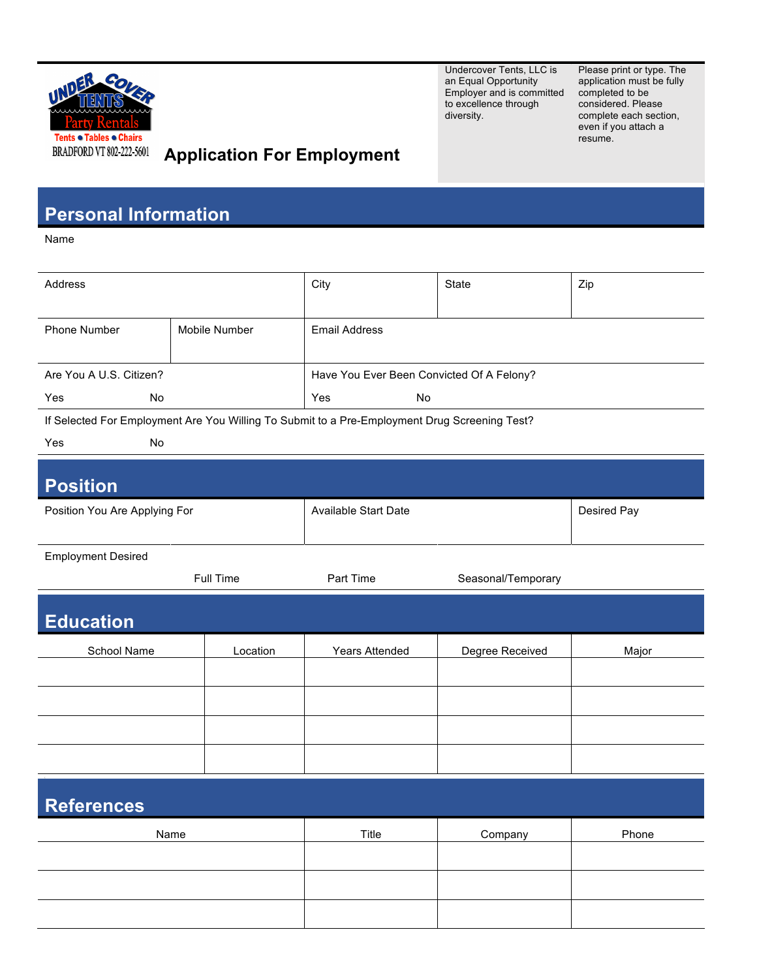

Undercover Tents, LLC is an Equal Opportunity Employer and is committed completed to be to excellence through diversity.

Please print or type. The application must be fully considered. Please complete each section, even if you attach a resume.

## **Application For Employment**

## **Personal Information**

Name

| Address                                                                                       |               | City                                      | State              | Zip         |  |
|-----------------------------------------------------------------------------------------------|---------------|-------------------------------------------|--------------------|-------------|--|
| Phone Number                                                                                  | Mobile Number | <b>Email Address</b>                      |                    |             |  |
| Are You A U.S. Citizen?                                                                       |               | Have You Ever Been Convicted Of A Felony? |                    |             |  |
| Yes<br>No.                                                                                    |               | Yes<br>No                                 |                    |             |  |
| If Selected For Employment Are You Willing To Submit to a Pre-Employment Drug Screening Test? |               |                                           |                    |             |  |
| Yes<br>No                                                                                     |               |                                           |                    |             |  |
| <b>Position</b>                                                                               |               |                                           |                    |             |  |
| Position You Are Applying For                                                                 |               | <b>Available Start Date</b>               |                    | Desired Pay |  |
| <b>Employment Desired</b>                                                                     |               |                                           |                    |             |  |
|                                                                                               | Full Time     | Part Time                                 | Seasonal/Temporary |             |  |
| <b>Education</b>                                                                              |               |                                           |                    |             |  |
| School Name                                                                                   | Location      | Years Attended                            | Degree Received    | Major       |  |
|                                                                                               |               |                                           |                    |             |  |
|                                                                                               |               |                                           |                    |             |  |
|                                                                                               |               |                                           |                    |             |  |
|                                                                                               |               |                                           |                    |             |  |
| <b>References</b>                                                                             |               |                                           |                    |             |  |
| Name                                                                                          |               | Title                                     | Company            | Phone       |  |
|                                                                                               |               |                                           |                    |             |  |
|                                                                                               |               |                                           |                    |             |  |
|                                                                                               |               |                                           |                    |             |  |